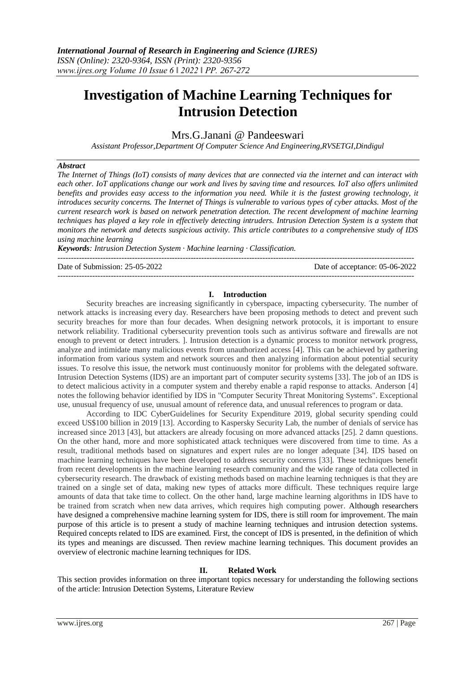# **Investigation of Machine Learning Techniques for Intrusion Detection**

# Mrs.G.Janani @ Pandeeswari

*Assistant Professor,Department Of Computer Science And Engineering,RVSETGI,Dindigul*

#### *Abstract*

*The Internet of Things (IoT) consists of many devices that are connected via the internet and can interact with each other. IoT applications change our work and lives by saving time and resources. IoT also offers unlimited benefits and provides easy access to the information you need. While it is the fastest growing technology, it introduces security concerns. The Internet of Things is vulnerable to various types of cyber attacks. Most of the current research work is based on network penetration detection. The recent development of machine learning techniques has played a key role in effectively detecting intruders. Intrusion Detection System is a system that monitors the network and detects suspicious activity. This article contributes to a comprehensive study of IDS using machine learning*

*Keywords: Intrusion Detection System · Machine learning · Classification.*

Date of Submission: 25-05-2022 Date of acceptance: 05-06-2022 --------------------------------------------------------------------------------------------------------------------------------------

#### **I. Introduction**

--------------------------------------------------------------------------------------------------------------------------------------

Security breaches are increasing significantly in cyberspace, impacting cybersecurity. The number of network attacks is increasing every day. Researchers have been proposing methods to detect and prevent such security breaches for more than four decades. When designing network protocols, it is important to ensure network reliability. Traditional cybersecurity prevention tools such as antivirus software and firewalls are not enough to prevent or detect intruders. ]. Intrusion detection is a dynamic process to monitor network progress, analyze and intimidate many malicious events from unauthorized access [4]. This can be achieved by gathering information from various system and network sources and then analyzing information about potential security issues. To resolve this issue, the network must continuously monitor for problems with the delegated software. Intrusion Detection Systems (IDS) are an important part of computer security systems [33]. The job of an IDS is to detect malicious activity in a computer system and thereby enable a rapid response to attacks. Anderson [4] notes the following behavior identified by IDS in "Computer Security Threat Monitoring Systems". Exceptional use, unusual frequency of use, unusual amount of reference data, and unusual references to program or data.

According to IDC CyberGuidelines for Security Expenditure 2019, global security spending could exceed US\$100 billion in 2019 [13]. According to Kaspersky Security Lab, the number of denials of service has increased since 2013 [43], but attackers are already focusing on more advanced attacks [25]. 2 damn questions. On the other hand, more and more sophisticated attack techniques were discovered from time to time. As a result, traditional methods based on signatures and expert rules are no longer adequate [34]. IDS based on machine learning techniques have been developed to address security concerns [33]. These techniques benefit from recent developments in the machine learning research community and the wide range of data collected in cybersecurity research. The drawback of existing methods based on machine learning techniques is that they are trained on a single set of data, making new types of attacks more difficult. These techniques require large amounts of data that take time to collect. On the other hand, large machine learning algorithms in IDS have to be trained from scratch when new data arrives, which requires high computing power. Although researchers have designed a comprehensive machine learning system for IDS, there is still room for improvement. The main purpose of this article is to present a study of machine learning techniques and intrusion detection systems. Required concepts related to IDS are examined. First, the concept of IDS is presented, in the definition of which its types and meanings are discussed. Then review machine learning techniques. This document provides an overview of electronic machine learning techniques for IDS.

## **II. Related Work**

This section provides information on three important topics necessary for understanding the following sections of the article: Intrusion Detection Systems, Literature Review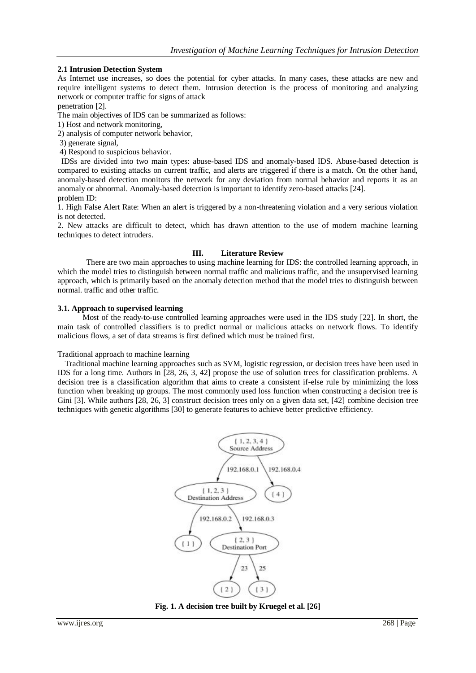#### **2.1 Intrusion Detection System**

As Internet use increases, so does the potential for cyber attacks. In many cases, these attacks are new and require intelligent systems to detect them. Intrusion detection is the process of monitoring and analyzing network or computer traffic for signs of attack

penetration [2].

The main objectives of IDS can be summarized as follows:

1) Host and network monitoring,

2) analysis of computer network behavior,

3) generate signal,

4) Respond to suspicious behavior.

 IDSs are divided into two main types: abuse-based IDS and anomaly-based IDS. Abuse-based detection is compared to existing attacks on current traffic, and alerts are triggered if there is a match. On the other hand, anomaly-based detection monitors the network for any deviation from normal behavior and reports it as an anomaly or abnormal. Anomaly-based detection is important to identify zero-based attacks [24]. problem ID:

1. High False Alert Rate: When an alert is triggered by a non-threatening violation and a very serious violation is not detected.

2. New attacks are difficult to detect, which has drawn attention to the use of modern machine learning techniques to detect intruders.

#### **III. Literature Review**

There are two main approaches to using machine learning for IDS: the controlled learning approach, in which the model tries to distinguish between normal traffic and malicious traffic, and the unsupervised learning approach, which is primarily based on the anomaly detection method that the model tries to distinguish between normal. traffic and other traffic.

#### **3.1. Approach to supervised learning**

Most of the ready-to-use controlled learning approaches were used in the IDS study [22]. In short, the main task of controlled classifiers is to predict normal or malicious attacks on network flows. To identify malicious flows, a set of data streams is first defined which must be trained first.

Traditional approach to machine learning

Traditional machine learning approaches such as SVM, logistic regression, or decision trees have been used in IDS for a long time. Authors in [28, 26, 3, 42] propose the use of solution trees for classification problems. A decision tree is a classification algorithm that aims to create a consistent if-else rule by minimizing the loss function when breaking up groups. The most commonly used loss function when constructing a decision tree is Gini [3]. While authors [28, 26, 3] construct decision trees only on a given data set, [42] combine decision tree techniques with genetic algorithms [30] to generate features to achieve better predictive efficiency.



**Fig. 1. A decision tree built by Kruegel et al. [26]**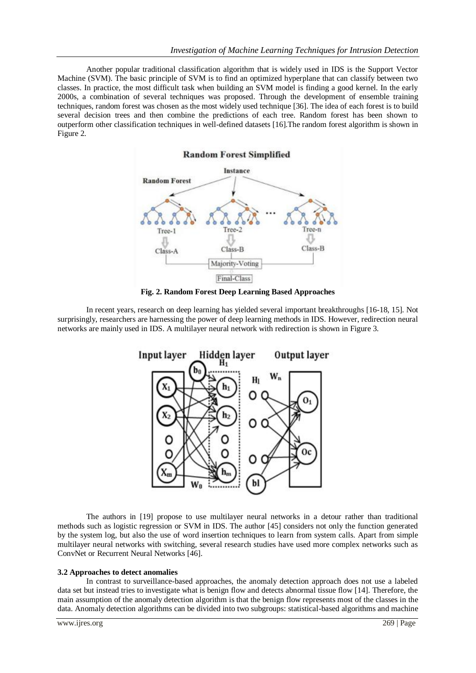Another popular traditional classification algorithm that is widely used in IDS is the Support Vector Machine (SVM). The basic principle of SVM is to find an optimized hyperplane that can classify between two classes. In practice, the most difficult task when building an SVM model is finding a good kernel. In the early 2000s, a combination of several techniques was proposed. Through the development of ensemble training techniques, random forest was chosen as the most widely used technique [36]. The idea of each forest is to build several decision trees and then combine the predictions of each tree. Random forest has been shown to outperform other classification techniques in well-defined datasets [16].The random forest algorithm is shown in Figure 2.





In recent years, research on deep learning has yielded several important breakthroughs [16-18, 15]. Not surprisingly, researchers are harnessing the power of deep learning methods in IDS. However, redirection neural networks are mainly used in IDS. A multilayer neural network with redirection is shown in Figure 3.



The authors in [19] propose to use multilayer neural networks in a detour rather than traditional methods such as logistic regression or SVM in IDS. The author [45] considers not only the function generated by the system log, but also the use of word insertion techniques to learn from system calls. Apart from simple multilayer neural networks with switching, several research studies have used more complex networks such as ConvNet or Recurrent Neural Networks [46].

#### **3.2 Approaches to detect anomalies**

In contrast to surveillance-based approaches, the anomaly detection approach does not use a labeled data set but instead tries to investigate what is benign flow and detects abnormal tissue flow [14]. Therefore, the main assumption of the anomaly detection algorithm is that the benign flow represents most of the classes in the data. Anomaly detection algorithms can be divided into two subgroups: statistical-based algorithms and machine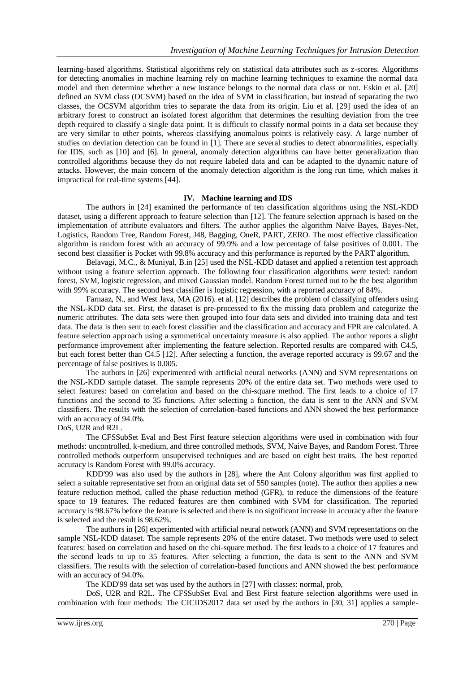learning-based algorithms. Statistical algorithms rely on statistical data attributes such as z-scores. Algorithms for detecting anomalies in machine learning rely on machine learning techniques to examine the normal data model and then determine whether a new instance belongs to the normal data class or not. Eskin et al. [20] defined an SVM class (OCSVM) based on the idea of SVM in classification, but instead of separating the two classes, the OCSVM algorithm tries to separate the data from its origin. Liu et al. [29] used the idea of an arbitrary forest to construct an isolated forest algorithm that determines the resulting deviation from the tree depth required to classify a single data point. It is difficult to classify normal points in a data set because they are very similar to other points, whereas classifying anomalous points is relatively easy. A large number of studies on deviation detection can be found in [1]. There are several studies to detect abnormalities, especially for IDS, such as [10] and [6]. In general, anomaly detection algorithms can have better generalization than controlled algorithms because they do not require labeled data and can be adapted to the dynamic nature of attacks. However, the main concern of the anomaly detection algorithm is the long run time, which makes it impractical for real-time systems [44].

#### **IV. Machine learning and IDS**

The authors in [24] examined the performance of ten classification algorithms using the NSL-KDD dataset, using a different approach to feature selection than [12]. The feature selection approach is based on the implementation of attribute evaluators and filters. The author applies the algorithm Naive Bayes, Bayes-Net, Logistics, Random Tree, Random Forest, J48, Bagging, OneR, PART, ZERO. The most effective classification algorithm is random forest with an accuracy of 99.9% and a low percentage of false positives of 0.001. The second best classifier is Pocket with 99.8% accuracy and this performance is reported by the PART algorithm.

Belavagi, M.C., & Muniyal, B.in [25] used the NSL-KDD dataset and applied a retention test approach without using a feature selection approach. The following four classification algorithms were tested: random forest, SVM, logistic regression, and mixed Gaussian model. Random Forest turned out to be the best algorithm with 99% accuracy. The second best classifier is logistic regression, with a reported accuracy of 84%.

Farnaaz, N., and West Java, MA (2016). et al. [12] describes the problem of classifying offenders using the NSL-KDD data set. First, the dataset is pre-processed to fix the missing data problem and categorize the numeric attributes. The data sets were then grouped into four data sets and divided into training data and test data. The data is then sent to each forest classifier and the classification and accuracy and FPR are calculated. A feature selection approach using a symmetrical uncertainty measure is also applied. The author reports a slight performance improvement after implementing the feature selection. Reported results are compared with C4.5, but each forest better than C4.5 [12]. After selecting a function, the average reported accuracy is 99.67 and the percentage of false positives is 0.005.

The authors in [26] experimented with artificial neural networks (ANN) and SVM representations on the NSL-KDD sample dataset. The sample represents 20% of the entire data set. Two methods were used to select features: based on correlation and based on the chi-square method. The first leads to a choice of 17 functions and the second to 35 functions. After selecting a function, the data is sent to the ANN and SVM classifiers. The results with the selection of correlation-based functions and ANN showed the best performance with an accuracy of 94.0%.

### DoS, U2R and R2L.

The CFSSubSet Eval and Best First feature selection algorithms were used in combination with four methods: uncontrolled, k-medium, and three controlled methods, SVM, Naive Bayes, and Random Forest. Three controlled methods outperform unsupervised techniques and are based on eight best traits. The best reported accuracy is Random Forest with 99.0% accuracy.

KDD'99 was also used by the authors in [28], where the Ant Colony algorithm was first applied to select a suitable representative set from an original data set of 550 samples (note). The author then applies a new feature reduction method, called the phase reduction method (GFR), to reduce the dimensions of the feature space to 19 features. The reduced features are then combined with SVM for classification. The reported accuracy is 98.67% before the feature is selected and there is no significant increase in accuracy after the feature is selected and the result is 98.62%.

The authors in [26] experimented with artificial neural network (ANN) and SVM representations on the sample NSL-KDD dataset. The sample represents 20% of the entire dataset. Two methods were used to select features: based on correlation and based on the chi-square method. The first leads to a choice of 17 features and the second leads to up to 35 features. After selecting a function, the data is sent to the ANN and SVM classifiers. The results with the selection of correlation-based functions and ANN showed the best performance with an accuracy of 94.0%.

The KDD'99 data set was used by the authors in [27] with classes: normal, prob,

DoS, U2R and R2L. The CFSSubSet Eval and Best First feature selection algorithms were used in combination with four methods: The CICIDS2017 data set used by the authors in [30, 31] applies a sample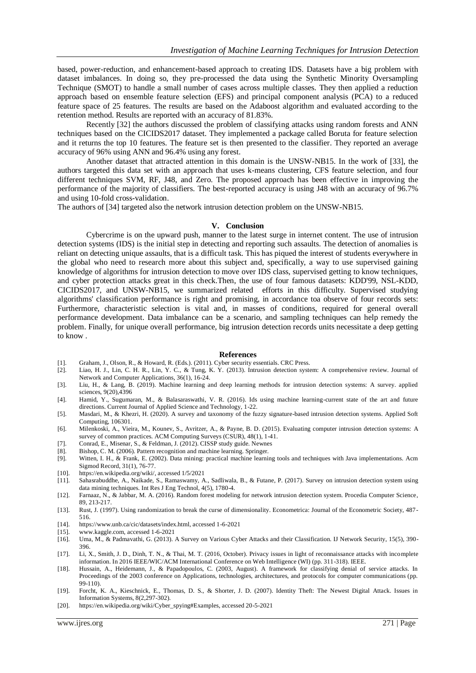based, power-reduction, and enhancement-based approach to creating IDS. Datasets have a big problem with dataset imbalances. In doing so, they pre-processed the data using the Synthetic Minority Oversampling Technique (SMOT) to handle a small number of cases across multiple classes. They then applied a reduction approach based on ensemble feature selection (EFS) and principal component analysis (PCA) to a reduced feature space of 25 features. The results are based on the Adaboost algorithm and evaluated according to the retention method. Results are reported with an accuracy of 81.83%.

Recently [32] the authors discussed the problem of classifying attacks using random forests and ANN techniques based on the CICIDS2017 dataset. They implemented a package called Boruta for feature selection and it returns the top 10 features. The feature set is then presented to the classifier. They reported an average accuracy of 96% using ANN and 96.4% using any forest.

Another dataset that attracted attention in this domain is the UNSW-NB15. In the work of [33], the authors targeted this data set with an approach that uses k-means clustering, CFS feature selection, and four different techniques SVM, RF, J48, and Zero. The proposed approach has been effective in improving the performance of the majority of classifiers. The best-reported accuracy is using J48 with an accuracy of 96.7% and using 10-fold cross-validation.

The authors of [34] targeted also the network intrusion detection problem on the UNSW-NB15.

#### **V. Conclusion**

Cybercrime is on the upward push, manner to the latest surge in internet content. The use of intrusion detection systems (IDS) is the initial step in detecting and reporting such assaults. The detection of anomalies is reliant on detecting unique assaults, that is a difficult task. This has piqued the interest of students everywhere in the global who need to research more about this subject and, specifically, a way to use supervised gaining knowledge of algorithms for intrusion detection to move over IDS class, supervised getting to know techniques, and cyber protection attacks great in this check.Then, the use of four famous datasets: KDD'99, NSL-KDD, CICIDS2017, and UNSW-NB15, we summarized related efforts in this difficulty. Supervised studying algorithms' classification performance is right and promising, in accordance toa observe of four records sets: Furthermore, characteristic selection is vital and, in masses of conditions, required for general overall performance development. Data imbalance can be a scenario, and sampling techniques can help remedy the problem. Finally, for unique overall performance, big intrusion detection records units necessitate a deep getting to know .

#### **References**

- [1]. Graham, J., Olson, R., & Howard, R. (Eds.). (2011). Cyber security essentials. CRC Press. [2]. Liao, H. J., Lin, C. H. R., Lin, Y. C., & Tung, K. Y. (2013). Intrusion detection syste
- Liao, H. J., Lin, C. H. R., Lin, Y. C., & Tung, K. Y. (2013). Intrusion detection system: A comprehensive review. Journal of Network and Computer Applications, 36(1), 16-24.
- [3]. Liu, H., & Lang, B. (2019). Machine learning and deep learning methods for intrusion detection systems: A survey. applied sciences, 9(20),4396
- [4]. Hamid, Y., Sugumaran, M., & Balasaraswathi, V. R. (2016). Ids using machine learning-current state of the art and future directions. Current Journal of Applied Science and Technology, 1-22.
- [5]. Masdari, M., & Khezri, H. (2020). A survey and taxonomy of the fuzzy signature-based intrusion detection systems. Applied Soft Computing, 106301.
- [6]. Milenkoski, A., Vieira, M., Kounev, S., Avritzer, A., & Payne, B. D. (2015). Evaluating computer intrusion detection systems: A survey of common practices. ACM Computing Surveys (CSUR), 48(1), 1-41.
- [7]. Conrad, E., Misenar, S., & Feldman, J. (2012). CISSP study guide. Newnes [8]. Bishop, C. M. (2006). Pattern recognition and machine learning. Springer.
- Bishop, C. M. (2006). Pattern recognition and machine learning. Springer.
- [9]. Witten, I. H., & Frank, E. (2002). Data mining: practical machine learning tools and techniques with Java implementations. Acm Sigmod Record, 31(1), 76-77.
- [10]. https://en.wikipedia.org/wiki/, accessed 1/5/2021
- [11]. Sahasrabuddhe, A., Naikade, S., Ramaswamy, A., Sadliwala, B., & Futane, P. (2017). Survey on intrusion detection system using data mining techniques. Int Res J Eng Technol, 4(5), 1780-4.
- [12]. Farnaaz, N., & Jabbar, M. A. (2016). Random forest modeling for network intrusion detection system. Procedia Computer Science, 89, 213-217.
- [13]. Rust, J. (1997). Using randomization to break the curse of dimensionality. Econometrica: Journal of the Econometric Society, 487- 516.
- [14]. https://www.unb.ca/cic/datasets/index.html, accessed 1-6-2021<br>[15]. www.kaggle.com, accessed 1-6-2021
- [15]. www.kaggle.com, accessed 1-6-2021
- [16]. Uma, M., & Padmavathi, G. (2013). A Survey on Various Cyber Attacks and their Classification. IJ Network Security, 15(5), 390- 396.
- [17]. Li, X., Smith, J. D., Dinh, T. N., & Thai, M. T. (2016, October). Privacy issues in light of reconnaissance attacks with incomplete information. In 2016 IEEE/WIC/ACM International Conference on Web Intelligence (WI) (pp. 311-318). IEEE.
- [18]. Hussain, A., Heidemann, J., & Papadopoulos, C. (2003, August). A framework for classifying denial of service attacks. In Proceedings of the 2003 conference on Applications, technologies, architectures, and protocols for computer communications (pp. 99-110).
- [19]. Forcht, K. A., Kieschnick, E., Thomas, D. S., & Shorter, J. D. (2007). Identity Theft: The Newest Digital Attack. Issues in Information Systems, 8(2,297-302).
- [20]. https://en.wikipedia.org/wiki/Cyber\_spying#Examples, accessed 20-5-2021